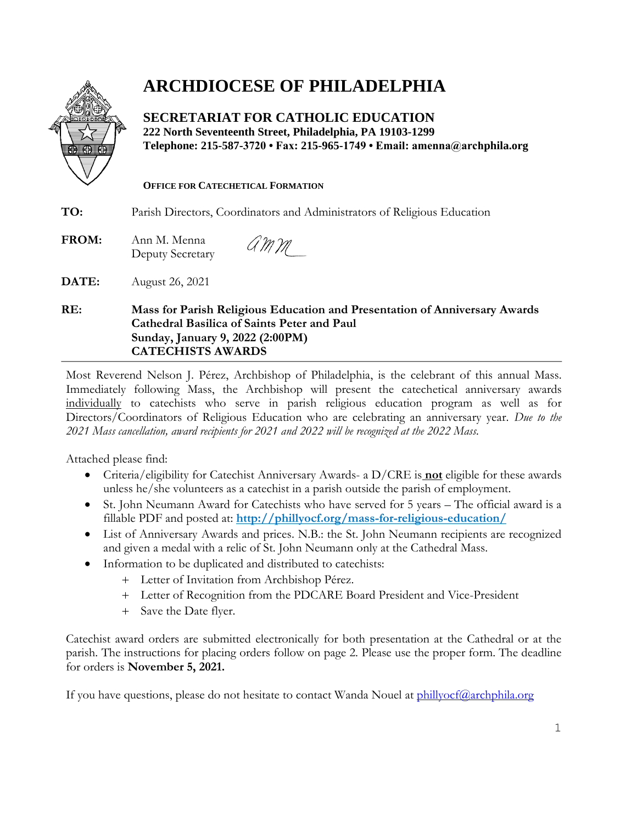

## **ARCHDIOCESE OF PHILADELPHIA**

**SECRETARIAT FOR CATHOLIC EDUCATION 222 North Seventeenth Street, Philadelphia, PA 19103-1299 Telephone: 215-587-3720 • Fax: 215-965-1749 • Email: amenna@archphila.org**

#### **OFFICE FOR CATECHETICAL FORMATION**

**TO:** Parish Directors, Coordinators and Administrators of Religious Education

AMM **FROM:** Ann M. Menna Deputy Secretary

**DATE:** August 26, 2021

### **RE: Mass for Parish Religious Education and Presentation of Anniversary Awards Cathedral Basilica of Saints Peter and Paul Sunday, January 9, 2022 (2:00PM) CATECHISTS AWARDS**

Most Reverend Nelson J. Pérez, Archbishop of Philadelphia, is the celebrant of this annual Mass. Immediately following Mass, the Archbishop will present the catechetical anniversary awards individually to catechists who serve in parish religious education program as well as for Directors/Coordinators of Religious Education who are celebrating an anniversary year. *Due to the 2021 Mass cancellation, award recipients for 2021 and 2022 will be recognized at the 2022 Mass.* 

Attached please find:

- Criteria/eligibility for Catechist Anniversary Awards- a D/CRE is **not** eligible for these awards unless he/she volunteers as a catechist in a parish outside the parish of employment.
- St. John Neumann Award for Catechists who have served for 5 years The official award is a fillable PDF and posted at: **<http://phillyocf.org/mass-for-religious-education/>**
- List of Anniversary Awards and prices. N.B.: the St. John Neumann recipients are recognized and given a medal with a relic of St. John Neumann only at the Cathedral Mass.
- Information to be duplicated and distributed to catechists:
	- Letter of Invitation from Archbishop Pérez.
	- Letter of Recognition from the PDCARE Board President and Vice-President
	- + Save the Date flyer.

Catechist award orders are submitted electronically for both presentation at the Cathedral or at the parish. The instructions for placing orders follow on page 2. Please use the proper form. The deadline for orders is **November 5, 2021.**

If you have questions, please do not hesitate to contact Wanda Nouel at  $\frac{\text{philivof}(a\text{archphila.org})}{\text{Univof}(a\text{archphila.org})}$